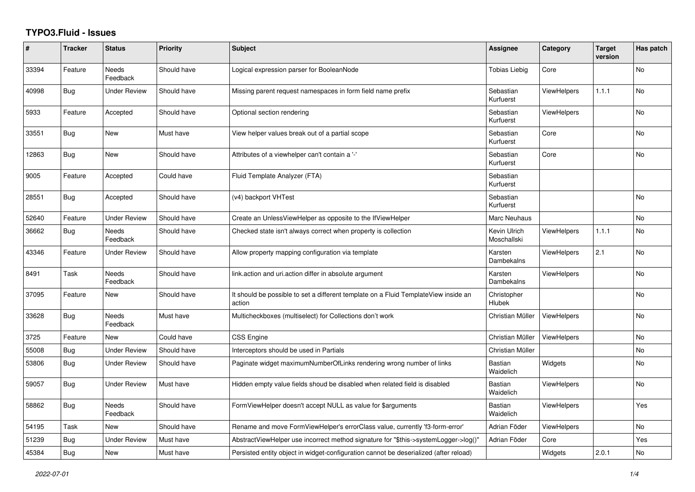## **TYPO3.Fluid - Issues**

| #     | <b>Tracker</b> | <b>Status</b>            | <b>Priority</b> | <b>Subject</b>                                                                                | Assignee                    | Category           | <b>Target</b><br>version | Has patch      |
|-------|----------------|--------------------------|-----------------|-----------------------------------------------------------------------------------------------|-----------------------------|--------------------|--------------------------|----------------|
| 33394 | Feature        | <b>Needs</b><br>Feedback | Should have     | Logical expression parser for BooleanNode                                                     | <b>Tobias Liebig</b>        | Core               |                          | <b>No</b>      |
| 40998 | Bug            | <b>Under Review</b>      | Should have     | Missing parent request namespaces in form field name prefix                                   | Sebastian<br>Kurfuerst      | <b>ViewHelpers</b> | 1.1.1                    | <b>No</b>      |
| 5933  | Feature        | Accepted                 | Should have     | Optional section rendering                                                                    | Sebastian<br>Kurfuerst      | <b>ViewHelpers</b> |                          | No             |
| 33551 | Bug            | New                      | Must have       | View helper values break out of a partial scope                                               | Sebastian<br>Kurfuerst      | Core               |                          | No             |
| 12863 | <b>Bug</b>     | <b>New</b>               | Should have     | Attributes of a viewhelper can't contain a '-'                                                | Sebastian<br>Kurfuerst      | Core               |                          | <b>No</b>      |
| 9005  | Feature        | Accepted                 | Could have      | Fluid Template Analyzer (FTA)                                                                 | Sebastian<br>Kurfuerst      |                    |                          |                |
| 28551 | Bug            | Accepted                 | Should have     | (v4) backport VHTest                                                                          | Sebastian<br>Kurfuerst      |                    |                          | No             |
| 52640 | Feature        | <b>Under Review</b>      | Should have     | Create an UnlessViewHelper as opposite to the IfViewHelper                                    | Marc Neuhaus                |                    |                          | <b>No</b>      |
| 36662 | Bug            | Needs<br>Feedback        | Should have     | Checked state isn't always correct when property is collection                                | Kevin Ulrich<br>Moschallski | <b>ViewHelpers</b> | 1.1.1                    | No             |
| 43346 | Feature        | Under Review             | Should have     | Allow property mapping configuration via template                                             | Karsten<br>Dambekalns       | <b>ViewHelpers</b> | 2.1                      | No             |
| 8491  | Task           | <b>Needs</b><br>Feedback | Should have     | link.action and uri.action differ in absolute argument                                        | Karsten<br>Dambekalns       | ViewHelpers        |                          | <b>No</b>      |
| 37095 | Feature        | New                      | Should have     | It should be possible to set a different template on a Fluid TemplateView inside an<br>action | Christopher<br>Hlubek       |                    |                          | <b>No</b>      |
| 33628 | Bug            | Needs<br>Feedback        | Must have       | Multicheckboxes (multiselect) for Collections don't work                                      | Christian Müller            | ViewHelpers        |                          | <b>No</b>      |
| 3725  | Feature        | New                      | Could have      | <b>CSS Engine</b>                                                                             | Christian Müller            | ViewHelpers        |                          | <b>No</b>      |
| 55008 | Bug            | Under Review             | Should have     | Interceptors should be used in Partials                                                       | Christian Müller            |                    |                          | No             |
| 53806 | Bug            | Under Review             | Should have     | Paginate widget maximumNumberOfLinks rendering wrong number of links                          | Bastian<br>Waidelich        | Widgets            |                          | No             |
| 59057 | Bug            | Under Review             | Must have       | Hidden empty value fields shoud be disabled when related field is disabled                    | <b>Bastian</b><br>Waidelich | <b>ViewHelpers</b> |                          | No             |
| 58862 | <b>Bug</b>     | <b>Needs</b><br>Feedback | Should have     | FormViewHelper doesn't accept NULL as value for \$arguments                                   | Bastian<br><b>Waidelich</b> | <b>ViewHelpers</b> |                          | Yes            |
| 54195 | Task           | New                      | Should have     | Rename and move FormViewHelper's errorClass value, currently 'f3-form-error'                  | Adrian Föder                | ViewHelpers        |                          | N <sub>o</sub> |
| 51239 | Bug            | <b>Under Review</b>      | Must have       | AbstractViewHelper use incorrect method signature for "\$this->systemLogger->log()"           | Adrian Föder                | Core               |                          | Yes            |
| 45384 | <b>Bug</b>     | New                      | Must have       | Persisted entity object in widget-configuration cannot be deserialized (after reload)         |                             | Widgets            | 2.0.1                    | <b>No</b>      |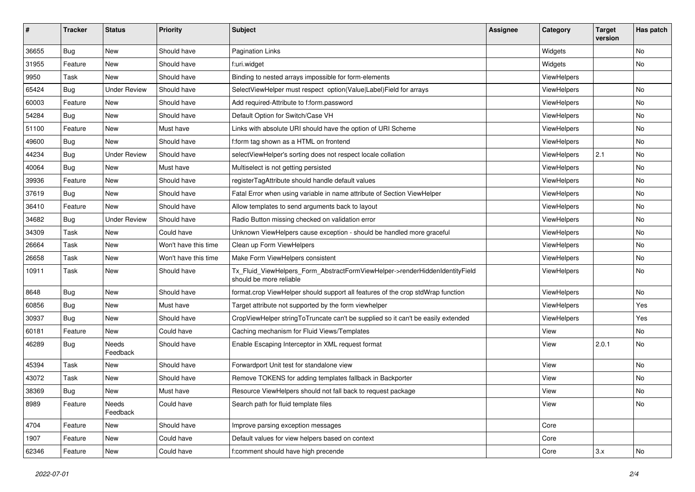| #     | <b>Tracker</b> | <b>Status</b>       | <b>Priority</b>      | <b>Subject</b>                                                                                         | <b>Assignee</b> | Category           | <b>Target</b><br>version | Has patch |
|-------|----------------|---------------------|----------------------|--------------------------------------------------------------------------------------------------------|-----------------|--------------------|--------------------------|-----------|
| 36655 | Bug            | New                 | Should have          | <b>Pagination Links</b>                                                                                |                 | Widgets            |                          | <b>No</b> |
| 31955 | Feature        | New                 | Should have          | f:uri.widget                                                                                           |                 | Widgets            |                          | No        |
| 9950  | Task           | New                 | Should have          | Binding to nested arrays impossible for form-elements                                                  |                 | ViewHelpers        |                          |           |
| 65424 | Bug            | <b>Under Review</b> | Should have          | SelectViewHelper must respect option(Value Label)Field for arrays                                      |                 | ViewHelpers        |                          | No        |
| 60003 | Feature        | New                 | Should have          | Add required-Attribute to f:form.password                                                              |                 | <b>ViewHelpers</b> |                          | No        |
| 54284 | Bug            | New                 | Should have          | Default Option for Switch/Case VH                                                                      |                 | ViewHelpers        |                          | No        |
| 51100 | Feature        | New                 | Must have            | Links with absolute URI should have the option of URI Scheme                                           |                 | ViewHelpers        |                          | No        |
| 49600 | Bug            | New                 | Should have          | f:form tag shown as a HTML on frontend                                                                 |                 | ViewHelpers        |                          | No        |
| 44234 | Bug            | <b>Under Review</b> | Should have          | selectViewHelper's sorting does not respect locale collation                                           |                 | ViewHelpers        | 2.1                      | No        |
| 40064 | Bug            | New                 | Must have            | Multiselect is not getting persisted                                                                   |                 | <b>ViewHelpers</b> |                          | No        |
| 39936 | Feature        | New                 | Should have          | registerTagAttribute should handle default values                                                      |                 | ViewHelpers        |                          | <b>No</b> |
| 37619 | Bug            | New                 | Should have          | Fatal Error when using variable in name attribute of Section ViewHelper                                |                 | ViewHelpers        |                          | No        |
| 36410 | Feature        | New                 | Should have          | Allow templates to send arguments back to layout                                                       |                 | ViewHelpers        |                          | No        |
| 34682 | Bug            | <b>Under Review</b> | Should have          | Radio Button missing checked on validation error                                                       |                 | ViewHelpers        |                          | No        |
| 34309 | Task           | New                 | Could have           | Unknown ViewHelpers cause exception - should be handled more graceful                                  |                 | ViewHelpers        |                          | No        |
| 26664 | Task           | New                 | Won't have this time | Clean up Form ViewHelpers                                                                              |                 | ViewHelpers        |                          | No        |
| 26658 | Task           | New                 | Won't have this time | Make Form ViewHelpers consistent                                                                       |                 | ViewHelpers        |                          | No        |
| 10911 | Task           | New                 | Should have          | Tx_Fluid_ViewHelpers_Form_AbstractFormViewHelper->renderHiddenIdentityField<br>should be more reliable |                 | ViewHelpers        |                          | No        |
| 8648  | Bug            | New                 | Should have          | format.crop ViewHelper should support all features of the crop stdWrap function                        |                 | ViewHelpers        |                          | No        |
| 60856 | Bug            | New                 | Must have            | Target attribute not supported by the form viewhelper                                                  |                 | ViewHelpers        |                          | Yes       |
| 30937 | Bug            | New                 | Should have          | CropViewHelper stringToTruncate can't be supplied so it can't be easily extended                       |                 | ViewHelpers        |                          | Yes       |
| 60181 | Feature        | New                 | Could have           | Caching mechanism for Fluid Views/Templates                                                            |                 | View               |                          | No        |
| 46289 | Bug            | Needs<br>Feedback   | Should have          | Enable Escaping Interceptor in XML request format                                                      |                 | View               | 2.0.1                    | No        |
| 45394 | Task           | New                 | Should have          | Forwardport Unit test for standalone view                                                              |                 | View               |                          | <b>No</b> |
| 43072 | Task           | New                 | Should have          | Remove TOKENS for adding templates fallback in Backporter                                              |                 | View               |                          | No        |
| 38369 | Bug            | New                 | Must have            | Resource ViewHelpers should not fall back to request package                                           |                 | View               |                          | No        |
| 8989  | Feature        | Needs<br>Feedback   | Could have           | Search path for fluid template files                                                                   |                 | View               |                          | No        |
| 4704  | Feature        | New                 | Should have          | Improve parsing exception messages                                                                     |                 | Core               |                          |           |
| 1907  | Feature        | New                 | Could have           | Default values for view helpers based on context                                                       |                 | Core               |                          |           |
| 62346 | Feature        | New                 | Could have           | f:comment should have high precende                                                                    |                 | Core               | 3.x                      | No        |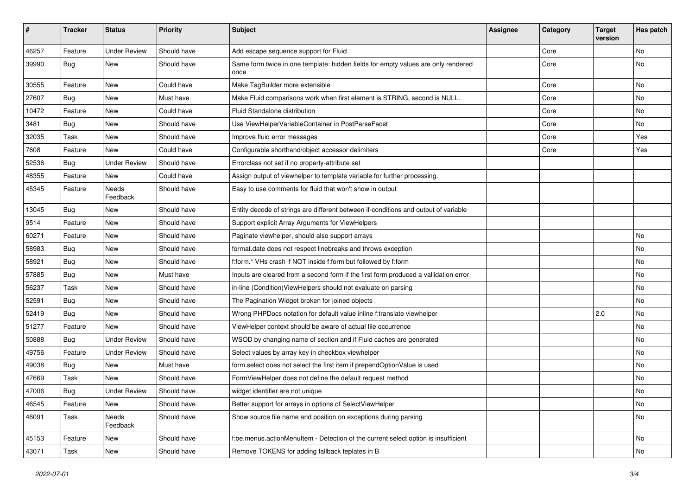| #     | <b>Tracker</b> | <b>Status</b>       | <b>Priority</b> | <b>Subject</b>                                                                            | <b>Assignee</b> | Category | <b>Target</b><br>version | Has patch |
|-------|----------------|---------------------|-----------------|-------------------------------------------------------------------------------------------|-----------------|----------|--------------------------|-----------|
| 46257 | Feature        | <b>Under Review</b> | Should have     | Add escape sequence support for Fluid                                                     |                 | Core     |                          | <b>No</b> |
| 39990 | Bug            | New                 | Should have     | Same form twice in one template: hidden fields for empty values are only rendered<br>once |                 | Core     |                          | No        |
| 30555 | Feature        | New                 | Could have      | Make TagBuilder more extensible                                                           |                 | Core     |                          | <b>No</b> |
| 27607 | Bug            | New                 | Must have       | Make Fluid comparisons work when first element is STRING, second is NULL.                 |                 | Core     |                          | No        |
| 10472 | Feature        | <b>New</b>          | Could have      | Fluid Standalone distribution                                                             |                 | Core     |                          | <b>No</b> |
| 3481  | Bug            | New                 | Should have     | Use ViewHelperVariableContainer in PostParseFacet                                         |                 | Core     |                          | No        |
| 32035 | Task           | New                 | Should have     | Improve fluid error messages                                                              |                 | Core     |                          | Yes       |
| 7608  | Feature        | New                 | Could have      | Configurable shorthand/object accessor delimiters                                         |                 | Core     |                          | Yes       |
| 52536 | Bug            | <b>Under Review</b> | Should have     | Errorclass not set if no property-attribute set                                           |                 |          |                          |           |
| 48355 | Feature        | New                 | Could have      | Assign output of viewhelper to template variable for further processing.                  |                 |          |                          |           |
| 45345 | Feature        | Needs<br>Feedback   | Should have     | Easy to use comments for fluid that won't show in output                                  |                 |          |                          |           |
| 13045 | Bug            | New                 | Should have     | Entity decode of strings are different between if-conditions and output of variable       |                 |          |                          |           |
| 9514  | Feature        | New                 | Should have     | Support explicit Array Arguments for ViewHelpers                                          |                 |          |                          |           |
| 60271 | Feature        | New                 | Should have     | Paginate viewhelper, should also support arrays                                           |                 |          |                          | No        |
| 58983 | Bug            | <b>New</b>          | Should have     | format.date does not respect linebreaks and throws exception                              |                 |          |                          | <b>No</b> |
| 58921 | Bug            | New                 | Should have     | f:form.* VHs crash if NOT inside f:form but followed by f:form                            |                 |          |                          | No        |
| 57885 | Bug            | <b>New</b>          | Must have       | Inputs are cleared from a second form if the first form produced a vallidation error      |                 |          |                          | <b>No</b> |
| 56237 | Task           | New                 | Should have     | in-line (Condition) View Helpers should not evaluate on parsing                           |                 |          |                          | No        |
| 52591 | Bug            | New                 | Should have     | The Pagination Widget broken for joined objects                                           |                 |          |                          | No        |
| 52419 | Bug            | <b>New</b>          | Should have     | Wrong PHPDocs notation for default value inline f:translate viewhelper                    |                 |          | 2.0                      | No        |
| 51277 | Feature        | New                 | Should have     | ViewHelper context should be aware of actual file occurrence                              |                 |          |                          | No        |
| 50888 | Bug            | <b>Under Review</b> | Should have     | WSOD by changing name of section and if Fluid caches are generated                        |                 |          |                          | No        |
| 49756 | Feature        | <b>Under Review</b> | Should have     | Select values by array key in checkbox viewhelper                                         |                 |          |                          | No        |
| 49038 | Bug            | New                 | Must have       | form.select does not select the first item if prependOptionValue is used                  |                 |          |                          | No        |
| 47669 | Task           | New                 | Should have     | FormViewHelper does not define the default request method                                 |                 |          |                          | No        |
| 47006 | Bug            | <b>Under Review</b> | Should have     | widget identifier are not unique                                                          |                 |          |                          | No        |
| 46545 | Feature        | New                 | Should have     | Better support for arrays in options of SelectViewHelper                                  |                 |          |                          | No        |
| 46091 | Task           | Needs<br>Feedback   | Should have     | Show source file name and position on exceptions during parsing                           |                 |          |                          | No        |
| 45153 | Feature        | New                 | Should have     | f:be.menus.actionMenuItem - Detection of the current select option is insufficient        |                 |          |                          | No        |
| 43071 | Task           | New                 | Should have     | Remove TOKENS for adding fallback teplates in B                                           |                 |          |                          | No        |